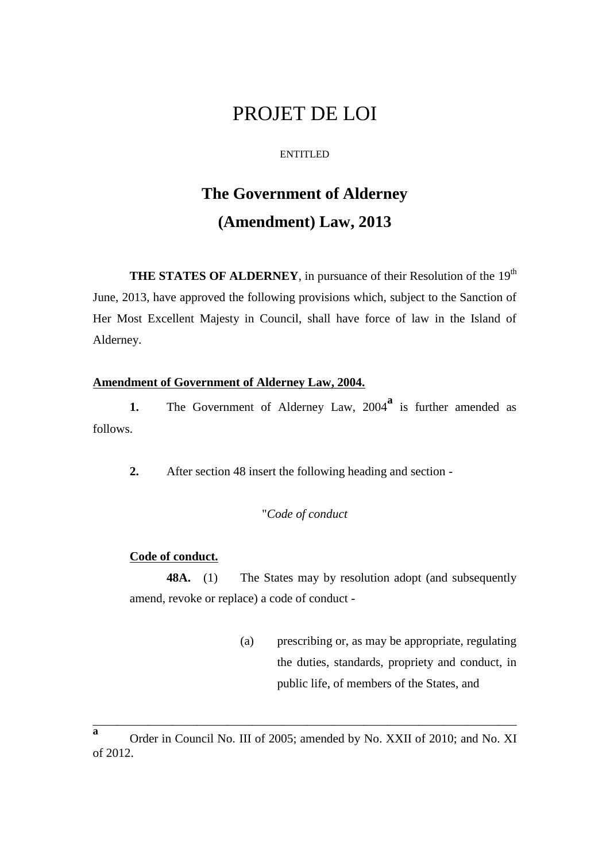## PROJET DE LOI

#### ENTITLED

# **The Government of Alderney (Amendment) Law, 2013**

**THE STATES OF ALDERNEY**, in pursuance of their Resolution of the 19<sup>th</sup> June, 2013, have approved the following provisions which, subject to the Sanction of Her Most Excellent Majesty in Council, shall have force of law in the Island of Alderney.

#### **Amendment of Government of Alderney Law, 2004.**

1. The Government of Alderney Law, 2004<sup>a</sup> is further amended as follows.

**2.** After section 48 insert the following heading and section -

### "*Code of conduct*

#### **Code of conduct.**

**48A.** (1) The States may by resolution adopt (and subsequently amend, revoke or replace) a code of conduct -

> (a) prescribing or, as may be appropriate, regulating the duties, standards, propriety and conduct, in public life, of members of the States, and

\_\_\_\_\_\_\_\_\_\_\_\_\_\_\_\_\_\_\_\_\_\_\_\_\_\_\_\_\_\_\_\_\_\_\_\_\_\_\_\_\_\_\_\_\_\_\_\_\_\_\_\_\_\_\_\_\_\_\_\_\_\_\_\_\_\_\_\_\_

**a** Order in Council No. III of 2005; amended by No. XXII of 2010; and No. XI of 2012.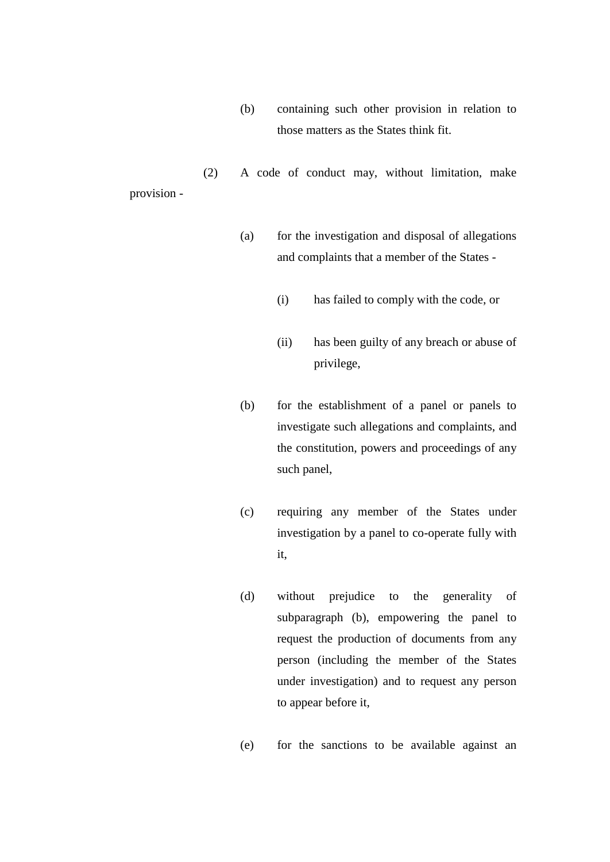(b) containing such other provision in relation to those matters as the States think fit.

(2) A code of conduct may, without limitation, make provision -

- (a) for the investigation and disposal of allegations and complaints that a member of the States -
	- (i) has failed to comply with the code, or
	- (ii) has been guilty of any breach or abuse of privilege,
- (b) for the establishment of a panel or panels to investigate such allegations and complaints, and the constitution, powers and proceedings of any such panel,
- (c) requiring any member of the States under investigation by a panel to co-operate fully with it,
- (d) without prejudice to the generality of subparagraph (b), empowering the panel to request the production of documents from any person (including the member of the States under investigation) and to request any person to appear before it,
- (e) for the sanctions to be available against an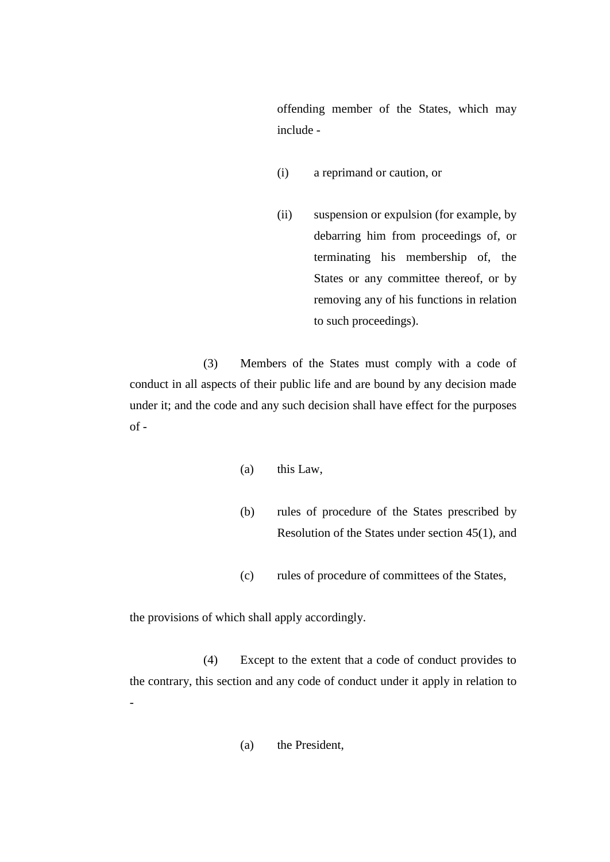offending member of the States, which may include -

- (i) a reprimand or caution, or
- (ii) suspension or expulsion (for example, by debarring him from proceedings of, or terminating his membership of, the States or any committee thereof, or by removing any of his functions in relation to such proceedings).

(3) Members of the States must comply with a code of conduct in all aspects of their public life and are bound by any decision made under it; and the code and any such decision shall have effect for the purposes  $of -$ 

- (a) this Law,
- (b) rules of procedure of the States prescribed by Resolution of the States under section 45(1), and
- (c) rules of procedure of committees of the States,

the provisions of which shall apply accordingly.

(4) Except to the extent that a code of conduct provides to the contrary, this section and any code of conduct under it apply in relation to -

(a) the President,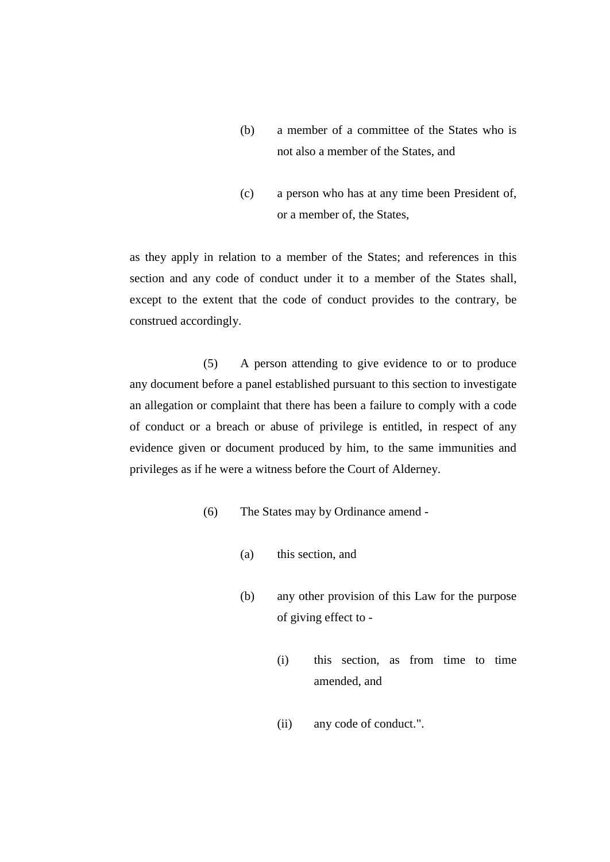- (b) a member of a committee of the States who is not also a member of the States, and
- (c) a person who has at any time been President of, or a member of, the States,

as they apply in relation to a member of the States; and references in this section and any code of conduct under it to a member of the States shall, except to the extent that the code of conduct provides to the contrary, be construed accordingly.

(5) A person attending to give evidence to or to produce any document before a panel established pursuant to this section to investigate an allegation or complaint that there has been a failure to comply with a code of conduct or a breach or abuse of privilege is entitled, in respect of any evidence given or document produced by him, to the same immunities and privileges as if he were a witness before the Court of Alderney.

- (6) The States may by Ordinance amend
	- (a) this section, and
	- (b) any other provision of this Law for the purpose of giving effect to -
		- (i) this section, as from time to time amended, and
		- (ii) any code of conduct.".